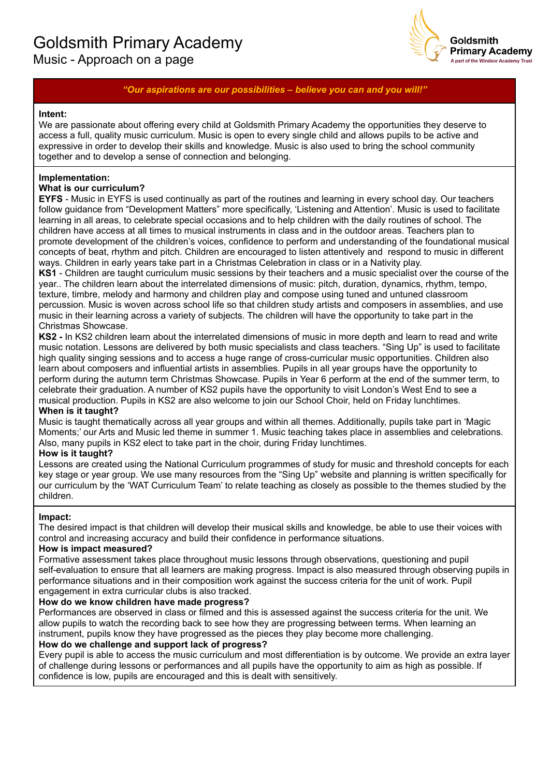# Goldsmith Primary Academy Music - Approach on a page



## *"Our aspirations are our possibilities – believe you can and you will!"*

#### **Intent:**

We are passionate about offering every child at Goldsmith Primary Academy the opportunities they deserve to access a full, quality music curriculum. Music is open to every single child and allows pupils to be active and expressive in order to develop their skills and knowledge. Music is also used to bring the school community together and to develop a sense of connection and belonging.

### **Implementation:**

#### **What is our curriculum?**

**EYFS** - Music in EYFS is used continually as part of the routines and learning in every school day. Our teachers follow guidance from "Development Matters" more specifically, 'Listening and Attention'. Music is used to facilitate learning in all areas, to celebrate special occasions and to help children with the daily routines of school. The children have access at all times to musical instruments in class and in the outdoor areas. Teachers plan to promote development of the children's voices, confidence to perform and understanding of the foundational musical concepts of beat, rhythm and pitch. Children are encouraged to listen attentively and respond to music in different ways. Children in early years take part in a Christmas Celebration in class or in a Nativity play.

**KS1** - Children are taught curriculum music sessions by their teachers and a music specialist over the course of the year.. The children learn about the interrelated dimensions of music: pitch, duration, dynamics, rhythm, tempo, texture, timbre, melody and harmony and children play and compose using tuned and untuned classroom percussion. Music is woven across school life so that children study artists and composers in assemblies, and use music in their learning across a variety of subjects. The children will have the opportunity to take part in the Christmas Showcase.

**KS2 -** In KS2 children learn about the interrelated dimensions of music in more depth and learn to read and write music notation. Lessons are delivered by both music specialists and class teachers. "Sing Up" is used to facilitate high quality singing sessions and to access a huge range of cross-curricular music opportunities. Children also learn about composers and influential artists in assemblies. Pupils in all year groups have the opportunity to perform during the autumn term Christmas Showcase. Pupils in Year 6 perform at the end of the summer term, to celebrate their graduation. A number of KS2 pupils have the opportunity to visit London's West End to see a musical production. Pupils in KS2 are also welcome to join our School Choir, held on Friday lunchtimes.

#### **When is it taught?**

Music is taught thematically across all year groups and within all themes. Additionally, pupils take part in 'Magic Moments;' our Arts and Music led theme in summer 1. Music teaching takes place in assemblies and celebrations. Also, many pupils in KS2 elect to take part in the choir, during Friday lunchtimes.

#### **How is it taught?**

Lessons are created using the National Curriculum programmes of study for music and threshold concepts for each key stage or year group. We use many resources from the "Sing Up" website and planning is written specifically for our curriculum by the 'WAT Curriculum Team' to relate teaching as closely as possible to the themes studied by the children.

#### **Impact:**

The desired impact is that children will develop their musical skills and knowledge, be able to use their voices with control and increasing accuracy and build their confidence in performance situations.

#### **How is impact measured?**

Formative assessment takes place throughout music lessons through observations, questioning and pupil self-evaluation to ensure that all learners are making progress. Impact is also measured through observing pupils in performance situations and in their composition work against the success criteria for the unit of work. Pupil engagement in extra curricular clubs is also tracked.

#### **How do we know children have made progress?**

Performances are observed in class or filmed and this is assessed against the success criteria for the unit. We allow pupils to watch the recording back to see how they are progressing between terms. When learning an instrument, pupils know they have progressed as the pieces they play become more challenging.

#### **How do we challenge and support lack of progress?**

Every pupil is able to access the music curriculum and most differentiation is by outcome. We provide an extra layer of challenge during lessons or performances and all pupils have the opportunity to aim as high as possible. If confidence is low, pupils are encouraged and this is dealt with sensitively.